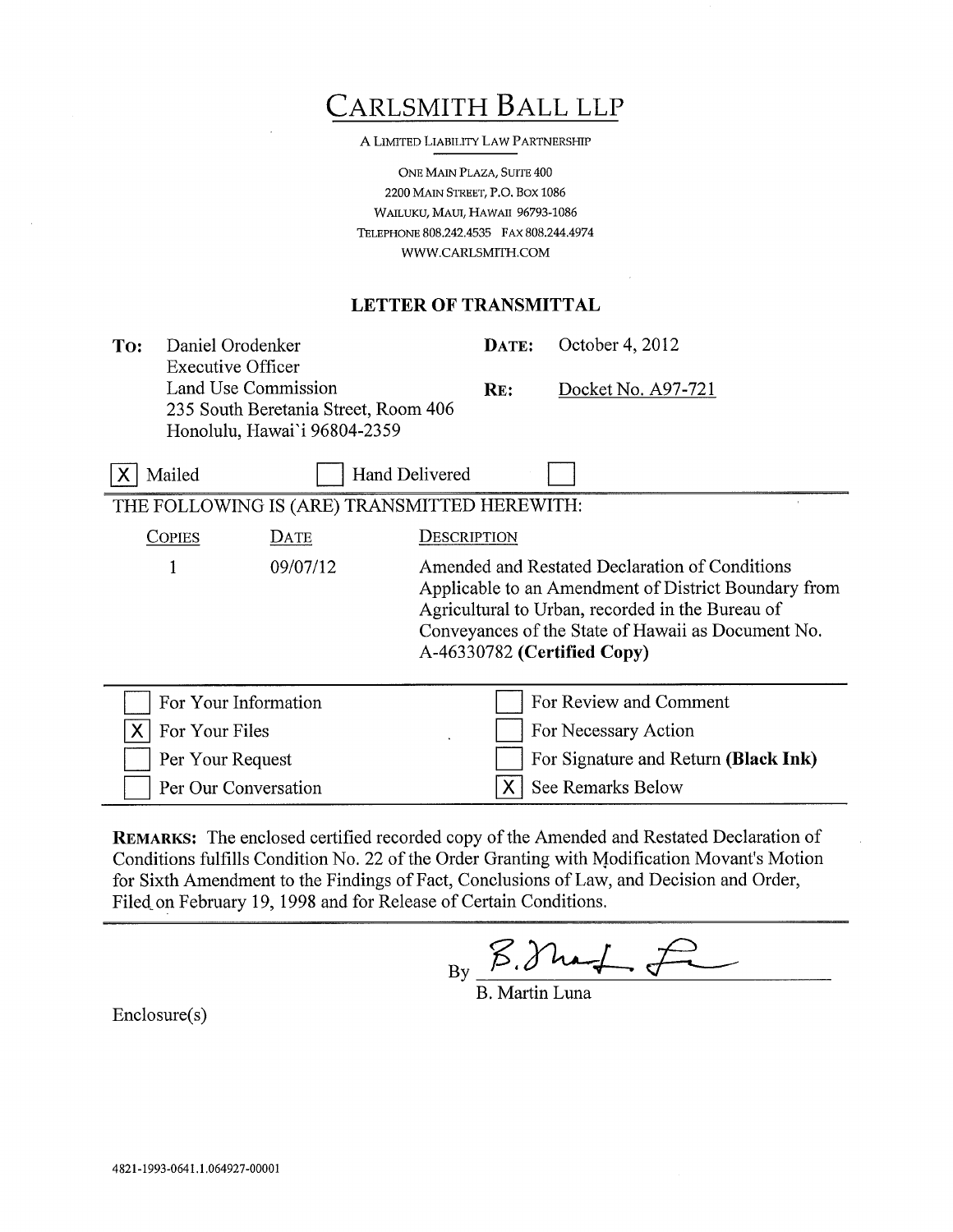| CARLSMITH BALL LLP |  |
|--------------------|--|
|                    |  |

A LIMITED LIABILITY LAW PARTNERSHIP

ONE MAIN PLAZA, SUITE 400 2200 MAIN STREET, P.O. BOX 1086 WAILUKU, MAUI, HAWAII 96793-1086 TELEPHONE 808.242.4535 FAX 808.244.4974 WWW.CARLSMITH.COM

## LETTER OF TRANSMITTAL

To: Daniel Orodenker DATE: Executive Officer Land Use Commission RE: 235 South Beretania Street, Room 406

Per Our Conversation

October 4, 2012

Docket No. A97-721

| Honolulu, Hawai'i 96804-2359                 |                       |                                                                                                                                                                                                                                                 |  |  |
|----------------------------------------------|-----------------------|-------------------------------------------------------------------------------------------------------------------------------------------------------------------------------------------------------------------------------------------------|--|--|
| Mailed                                       | <b>Hand Delivered</b> |                                                                                                                                                                                                                                                 |  |  |
| THE FOLLOWING IS (ARE) TRANSMITTED HEREWITH: |                       |                                                                                                                                                                                                                                                 |  |  |
| <b>COPIES</b>                                | DATE                  | DESCRIPTION                                                                                                                                                                                                                                     |  |  |
|                                              | 09/07/12              | Amended and Restated Declaration of Conditions<br>Applicable to an Amendment of District Boundary from<br>Agricultural to Urban, recorded in the Bureau of<br>Conveyances of the State of Hawaii as Document No.<br>A-46330782 (Certified Copy) |  |  |
|                                              | For Your Information  | For Review and Comment                                                                                                                                                                                                                          |  |  |
| For Your Files                               |                       | For Necessary Action                                                                                                                                                                                                                            |  |  |
| Per Your Request                             |                       | For Signature and Return (Black Ink)                                                                                                                                                                                                            |  |  |

REMARKS: The enclosed certified recorded copy of the Amended and Restated Declaration of Conditions fulfills Condition No. 22 of the Order Granting with Modification Movant's Motion for Sixth Amendment to the Findings of Fact, Conclusions of Law, and Decision and Order, Filed on February 19, 1998 and for Release of Certain Conditions.

 $B_y \times 3$  hand

**X** See Remarks Below

B. Martin Luna

Enclosure(s)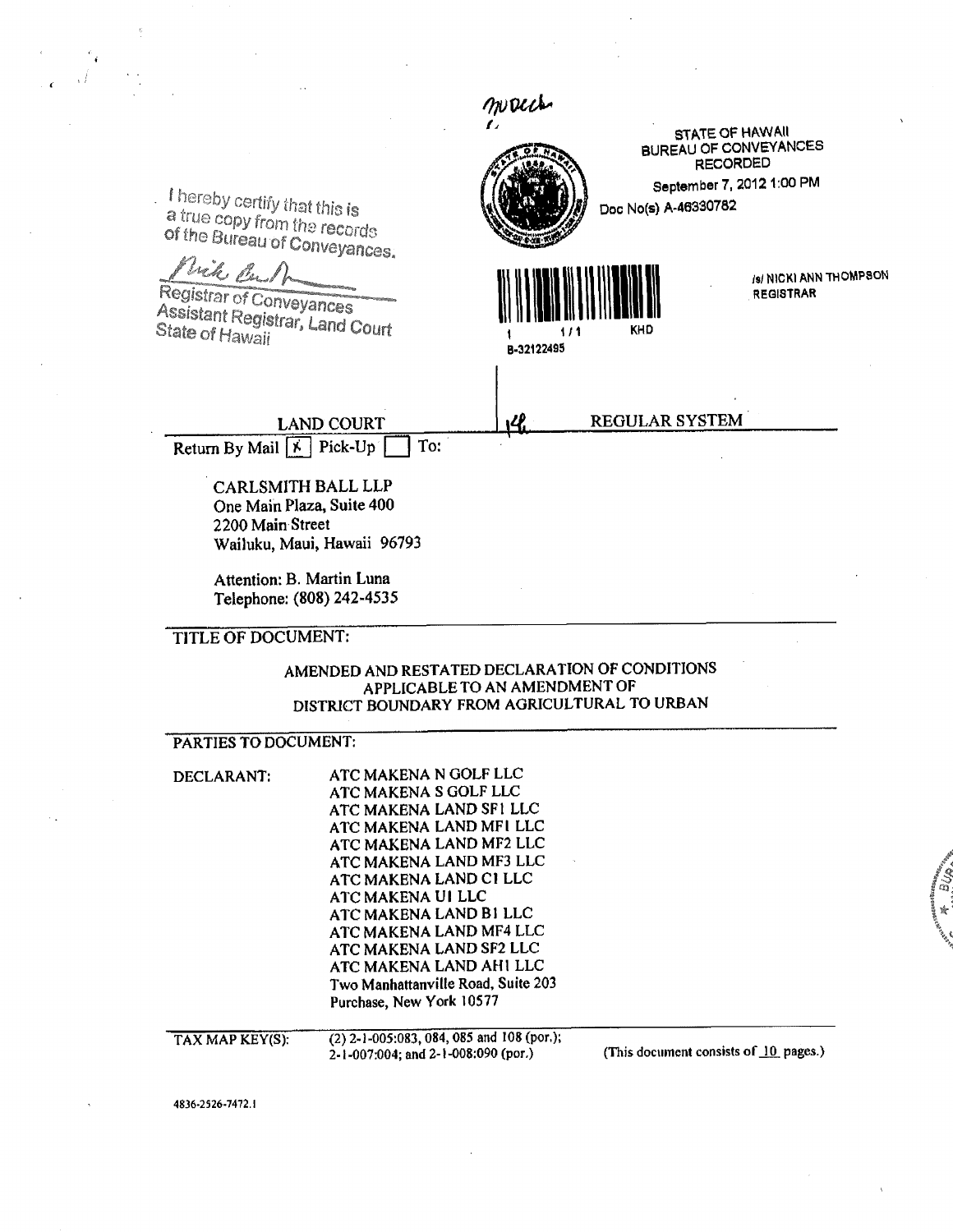|                                                               |                                                    | macch                                              |                                                 |  |  |  |
|---------------------------------------------------------------|----------------------------------------------------|----------------------------------------------------|-------------------------------------------------|--|--|--|
|                                                               |                                                    |                                                    | <b>STATE OF HAWAII</b>                          |  |  |  |
|                                                               |                                                    |                                                    | <b>BUREAU OF CONVEYANCES</b><br><b>RECORDED</b> |  |  |  |
|                                                               |                                                    |                                                    | September 7, 2012 1:00 PM                       |  |  |  |
| I hereby certify that this is                                 |                                                    |                                                    | Doc No(s) A-46330782                            |  |  |  |
| a true copy from the records                                  |                                                    |                                                    |                                                 |  |  |  |
| of the Bureau of Conveyances.                                 |                                                    |                                                    |                                                 |  |  |  |
| Vick Culp                                                     |                                                    |                                                    | (s) NICKI ANN THOMPSON                          |  |  |  |
| Registrar of Conveyances                                      |                                                    |                                                    | <b>REGISTRAR</b>                                |  |  |  |
| Assistant Registrar, Land Court                               |                                                    |                                                    | KHD                                             |  |  |  |
| State of Hawaii                                               |                                                    | B-32122495                                         |                                                 |  |  |  |
|                                                               |                                                    |                                                    |                                                 |  |  |  |
|                                                               |                                                    |                                                    |                                                 |  |  |  |
|                                                               | <b>LAND COURT</b>                                  |                                                    | REGULAR SYSTEM                                  |  |  |  |
| Return By Mail $\overline{X}$ Pick-Up                         | To:                                                |                                                    |                                                 |  |  |  |
|                                                               |                                                    |                                                    |                                                 |  |  |  |
|                                                               | CARLSMITH BALL LLP                                 |                                                    |                                                 |  |  |  |
|                                                               | One Main Plaza, Suite 400                          |                                                    |                                                 |  |  |  |
| 2200 Main Street                                              |                                                    |                                                    |                                                 |  |  |  |
|                                                               | Wailuku, Maui, Hawaii 96793                        |                                                    |                                                 |  |  |  |
|                                                               | Attention: B. Martin Luna                          |                                                    |                                                 |  |  |  |
|                                                               | Telephone: (808) 242-4535                          |                                                    |                                                 |  |  |  |
| <b>TITLE OF DOCUMENT:</b>                                     |                                                    |                                                    |                                                 |  |  |  |
|                                                               | AMENDED AND RESTATED DECLARATION OF CONDITIONS     |                                                    |                                                 |  |  |  |
| APPLICABLE TO AN AMENDMENT OF                                 |                                                    |                                                    |                                                 |  |  |  |
|                                                               | DISTRICT BOUNDARY FROM AGRICULTURAL TO URBAN       |                                                    |                                                 |  |  |  |
| PARTIES TO DOCUMENT:                                          |                                                    |                                                    |                                                 |  |  |  |
| DECLARANT:                                                    | ATC MAKENA N GOLF LLC                              |                                                    |                                                 |  |  |  |
|                                                               |                                                    | ATC MAKENA S GOLF LLC                              |                                                 |  |  |  |
|                                                               |                                                    | ATC MAKENA LAND SF1 LLC<br>ATC MAKENA LAND MFI LLC |                                                 |  |  |  |
|                                                               |                                                    |                                                    |                                                 |  |  |  |
|                                                               | ATC MAKENA LAND MF2 LLC<br>ATC MAKENA LAND MF3 LLC |                                                    |                                                 |  |  |  |
|                                                               | ATC MAKENA LAND C1 LLC                             |                                                    |                                                 |  |  |  |
|                                                               | ATC MAKENA UI LLC<br>ATC MAKENA LAND B1 LLC        |                                                    |                                                 |  |  |  |
|                                                               | ATC MAKENA LAND MF4 LLC                            |                                                    |                                                 |  |  |  |
| ATC MAKENA LAND SF2 LLC                                       |                                                    |                                                    |                                                 |  |  |  |
| ATC MAKENA LAND AHI LLC<br>Two Manhattanville Road, Suite 203 |                                                    |                                                    |                                                 |  |  |  |
|                                                               | Purchase, New York 10577                           |                                                    |                                                 |  |  |  |
|                                                               |                                                    |                                                    |                                                 |  |  |  |
| TAX MAP KEY(S):                                               | (2) 2-1-005:083, 084, 085 and 108 (por.);          |                                                    | (This document consists of 10 pages.)           |  |  |  |
|                                                               | 2-1-007:004; and 2-1-008:090 (por.)                |                                                    |                                                 |  |  |  |
|                                                               |                                                    |                                                    |                                                 |  |  |  |
| 4836-2526-7472.1                                              |                                                    |                                                    |                                                 |  |  |  |

 $\mathcal{A}^{\mathcal{A}}_{\mathcal{A}}$ 

en fan de BUD fan De Franklingen.<br>Steatsmall BUD fan De Franklingen fan De Franklingen.

 $\label{eq:2.1} \begin{split} \mathcal{L}_{\text{max}}(\mathbf{r}) & = \mathcal{L}_{\text{max}}(\mathbf{r}) \mathcal{L}_{\text{max}}(\mathbf{r}) \mathcal{L}_{\text{max}}(\mathbf{r}) \mathcal{L}_{\text{max}}(\mathbf{r}) \mathcal{L}_{\text{max}}(\mathbf{r}) \mathcal{L}_{\text{max}}(\mathbf{r}) \mathcal{L}_{\text{max}}(\mathbf{r}) \mathcal{L}_{\text{max}}(\mathbf{r}) \mathcal{L}_{\text{max}}(\mathbf{r}) \mathcal{L}_{\text{max}}(\mathbf{r}) \mathcal{L}_{\text{max}}(\mathbf{r})$ 

 $\sim$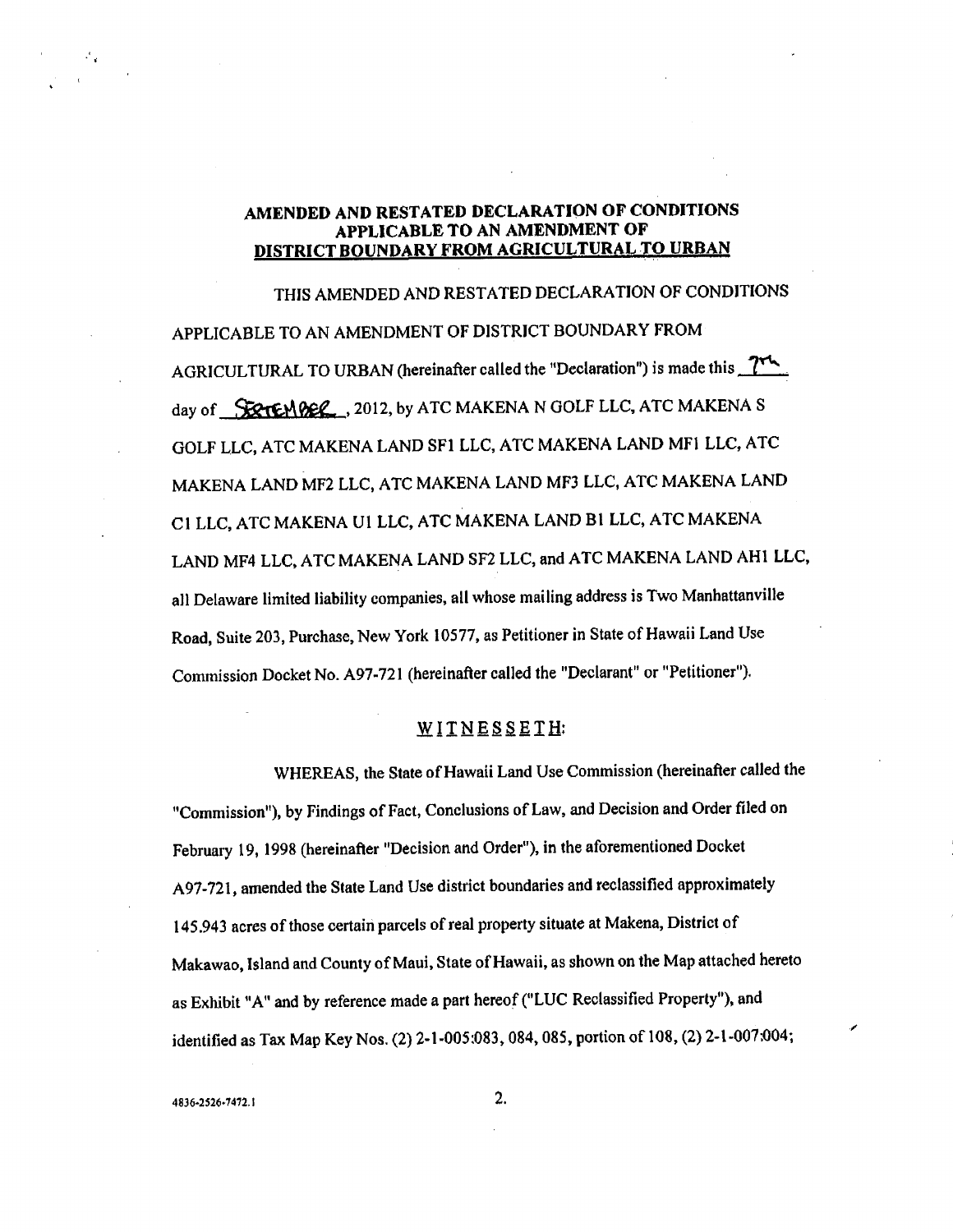## AMENDED AND RESTATED DECLARATION OF CONDITIONS APPLICABLE TO AN AMENDMENT OF DISTRICT BOUNDARY FROM AGRICULTURAL TO URBAN

THIS AMENDED AND RESTATED DECLARATION OF CONDITIONS APPLICABLE TO AN AMENDMENT OF DISTRICT BOUNDARY FROM AGRICULTURAL TO URBAN (hereinafter called the "Declaration") is made this  $\frac{\gamma_{\text{max}}}{\gamma_{\text{max}}}$ day of SECTEMBER, 2012, by ATC MAKENA N GOLF LLC, ATC MAKENA S GOLF LLC, ATC MAKENA LAND SF1 LLC, ATC MAKENA LAND MFi LLC, ATC MAKENA LAND MF2 LLC, ATC MAKENA LAND MF3 LLC, ATC MAKENA LAND CI LLC, ATC MAKENA UI LLC, ATC MAKENA LAND BI LLC, ATC MAKENA LAND MF4 LLC, ATC MAKENA LAND SF2 LLC, and ATC MAKENA LAND AHI LLC, all Delaware limited liability companies, all whose mailing address is Two Manhattanville Road, Suite 203, Purchase, New York 10577, as Petitioner in State of Hawaii Land Use Commission Docket No. A97-721 (hereinafter called the "Declarant" or "Petitioner").

### WITNESSETH:

WHEREAS, the State of Hawaii Land Use Commission (hereinafter called the "Commission"), by Findings of Fact, Conclusions of Law, and Decision and Order filed on February 19, 1998 (hereinafter "Decision and Order"), in the aforementioned Docket A97-721, amended the State Land Use district boundaries and reclassified approximately 145.943 acres of those certain parcels of real property situate at Makena, District of Makawao, Island and County of Maui, State of Hawaii, as shown on the Map attached hereto as Exhibit "A" and by reference made a part hereof ("LUC Reclassified Property"), and identified as Tax Map Key Nos. (2) 2-1-005:083, 084, 085, portion of 108, (2) 2-1-007:004;

.ÿ€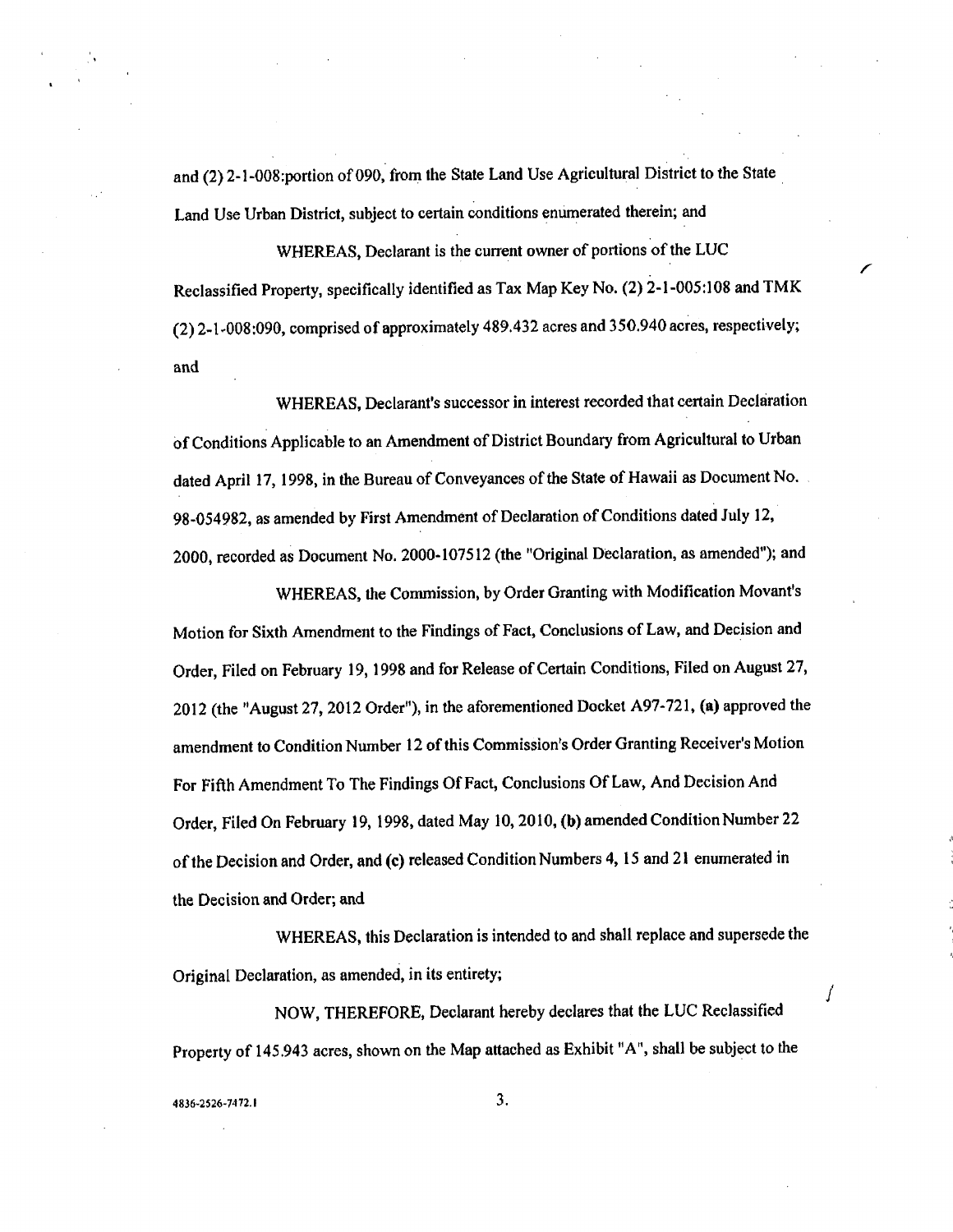and (2) 2-1-O08:portion of 090, from the State Land Use Agricultural District to the State Land Use Urban District, subject to certain Conditions enumerated therein; and

WHEREAS, Declarant is the current owner of portions of the LUC Reclassified Property, specifically identified as Tax Map Key No. (2) 2-1-005:108 and TMK (2) 2-1-008:090, comprised of approximately 489.432 acres and 350.940 acres, respectively; and

f

Í

WHEREAS, Declarant's successor in interest recorded that certain Declaration Of Conditions Applicable to an Amendment of District Boundary from Agricultural to Urban dated April 17, 1998, in the Bureau of Conveyances of the State of Hawaii as Document No. 98-054982, as amended by First Amendment of Declaration of Conditions dated July 12, 2000, recorded as Document No. 2000-107512 (the "Original Declaration, as amended"); and

WHEREAS, the Commission, by Order Granting with Modification Movant's Motion for Sixth Amendment to the Findings of Fact, Conclusions of Law, and Decision and Order, Filed on February 19, 1998 and for Release of Certain Conditions, Filed on August 27, 2012 (the "August 27, 2012 Order"), in the aforementioned Docket A97-721, (a) approved the amendment to Condition Number 12 of this Commission's Order Granting Receiver's Motion For Fifth Amendment To The Findings Of Fact, Conclusions Of Law, And Decision And Order, Filed On February 19, 1998, dated May 10, 2010, (b) amended Condition Number 22 of the Decision and Order, and (e) released Condition Numbers 4, 15 and 21 enumerated in the Decision and Order; and

WHEREAS, this Declaration is intended to and shall replace and supersede the Original Declaration, as amended, in its entirety;

NOW, THEREFORE, Declarant hereby declares that the LUC Reclassified Property of 145.943 acres, shown on the Map attached as Exhibit "A", shall be subject to the

t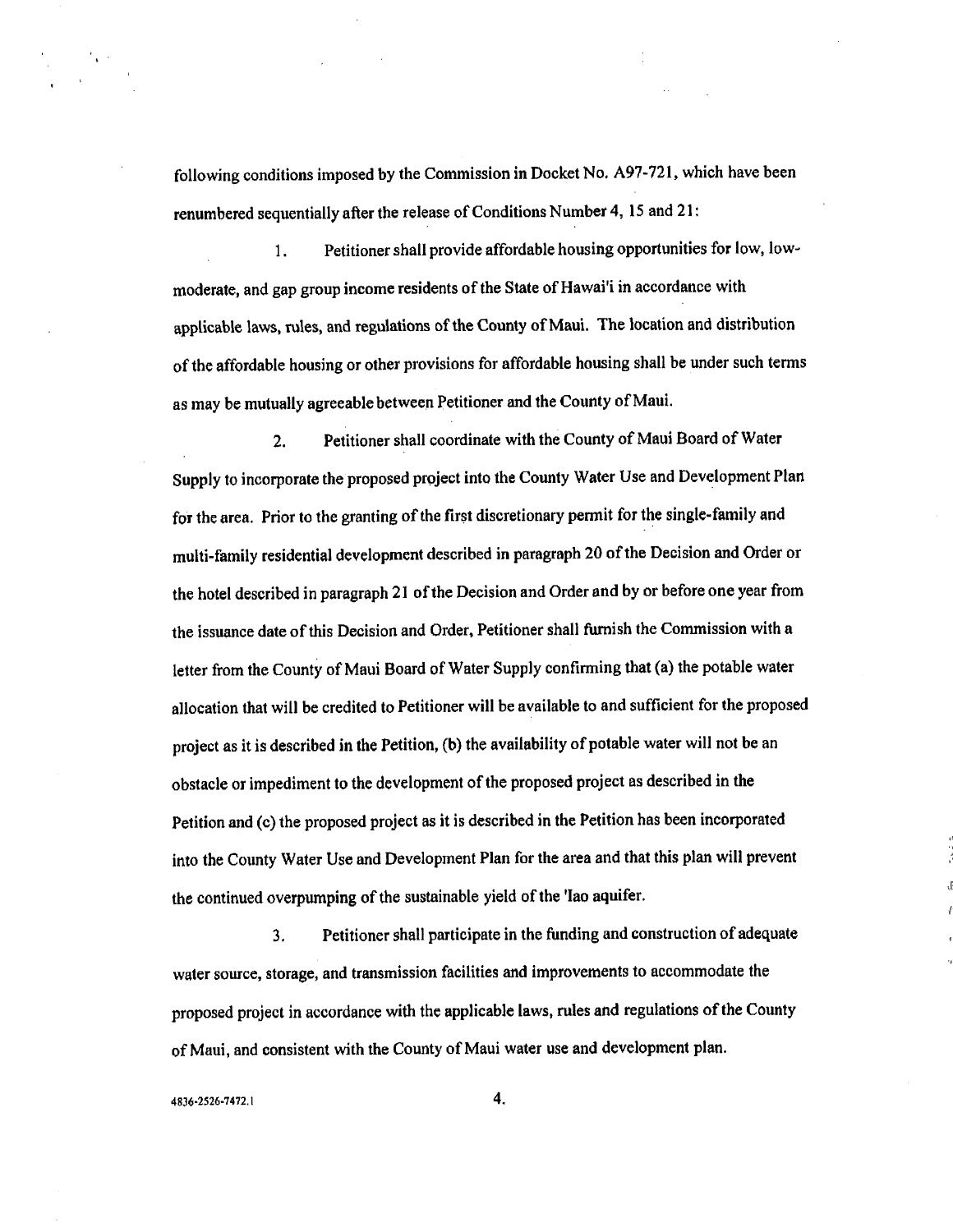following conditions imposed by the Commission in Docket No. A97-721, which have been renumbered sequentially after the release of Conditions Number 4, 15 and 21:

1. Petitioner shall provide affordable housing opportunities for low, lowmoderate, and gap group income residents of the State of Hawai'i in accordance with applicable laws, rules, and regulations of the County of Maul. The location and distribution of the affordable housing or other provisions for affordable housing shall be under such terms as may be mutually agreeable between Petitioner and the County of Maul.

2. Petitioner shall coordinate with the County of Maui Board of Water Supply to incorporate the proposed project into the County Water Use and Development Plan for the area. Prior to the granting of the first discretionary permit for the single-family and multi-family residential development described in paragraph 20 of the Decision and Order or the hotel described in paragraph 21 of the Decision and Order and by or before one year from the issuance date of this Decision and Order, Petitioner shall furnish the Commission with a letter from the County of Maui Board of Water Supply confirming that (a) the potable water allocation that will be credited to Petitioner will be available to and sufficient for the proposed project as it is described in the Petition, (b) the availability of potable water will not be an obstacle or impediment to the development of the proposed project as described in the Petition and (c) the proposed project as it is described in the Petition has been incorporated into the County Water Use and Development Plan for the area and that this plan will prevent the continued overpumping of the sustainable yield of the 'Iao aquifer.

3. Petitioner shall participate in the funding and construction of adequate water source, storage, and transmission facilities and improvements to accommodate the proposed project in accordance with the applicable laws, rules and regulations of the County of Maul, and consistent with the County of Mani water use and development plan.

 $4836 - 2526 - 7472.1$  4,

 $\mathcal{E}_{\mathbf{x}}$  .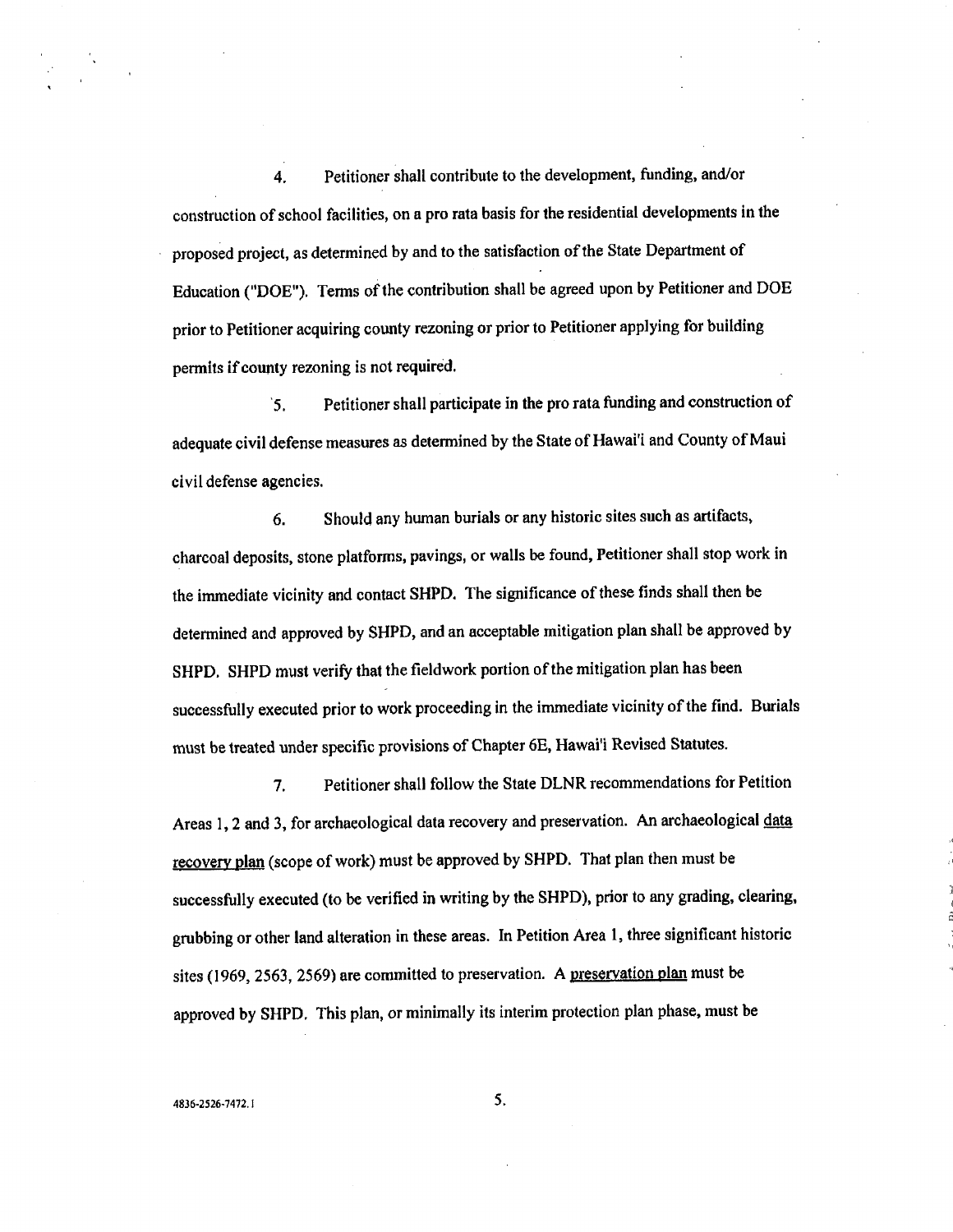4. Petitioner Shall contribute to the development, funding, and/or construction of school facilities, on a pro rata basis for the residential developments in the proposed project, as determined by and to the satisfaction of the State Department of Education ("DOE"). Terms of the contribution shall be agreed upon by Petitioner and DOE prior to Petitioner acquiring county rezoning or prior to Petitioner applying for building permits if county rezoning is not required.

'5. Petitioner shall participate in the pro rata funding and construction of adequate civil defense measures as determined by the State of Hawai'i and County of Maui civil defense agencies.

6. Should any human burials or any historic sites such as artifacts, charcoal deposits, stone platforms, pavings, or walls be found, Petitioner shall stop work in the immediate vicinity and contact SHPD, The significance of these finds shall then be determined and approved by SHPD, and an acceptable mitigation plan shall be approved by SHPD. SHPD must verify that the fieldwork portion of the mitigation plan has been successfully executed prior to work proceeding in the immediate vicinity of the find. Burials must be treated under specific provisions of Chapter 6E, Hawai'i Revised Statutes.

7. Petitioner shall follow the State DLNR recommendations for Petition Areas 1, 2 and 3, for archaeological data recovery and preservation. An archaeological data recovery plan (scope of work) must be approved by SHPD. That plan then must be successfully executed (to be verified in writing by the SHPD), prior to any grading, clearing, grubbing or other land alteration in these areas. In Petition Area 1, three significant historic sites (1969, 2563, 2569) are committed to preservation. A preservation plan must be approved by SHPD. This plan, or minimally its interim protection plan phase, must be

#### $4836-2526-7472.$  I 5,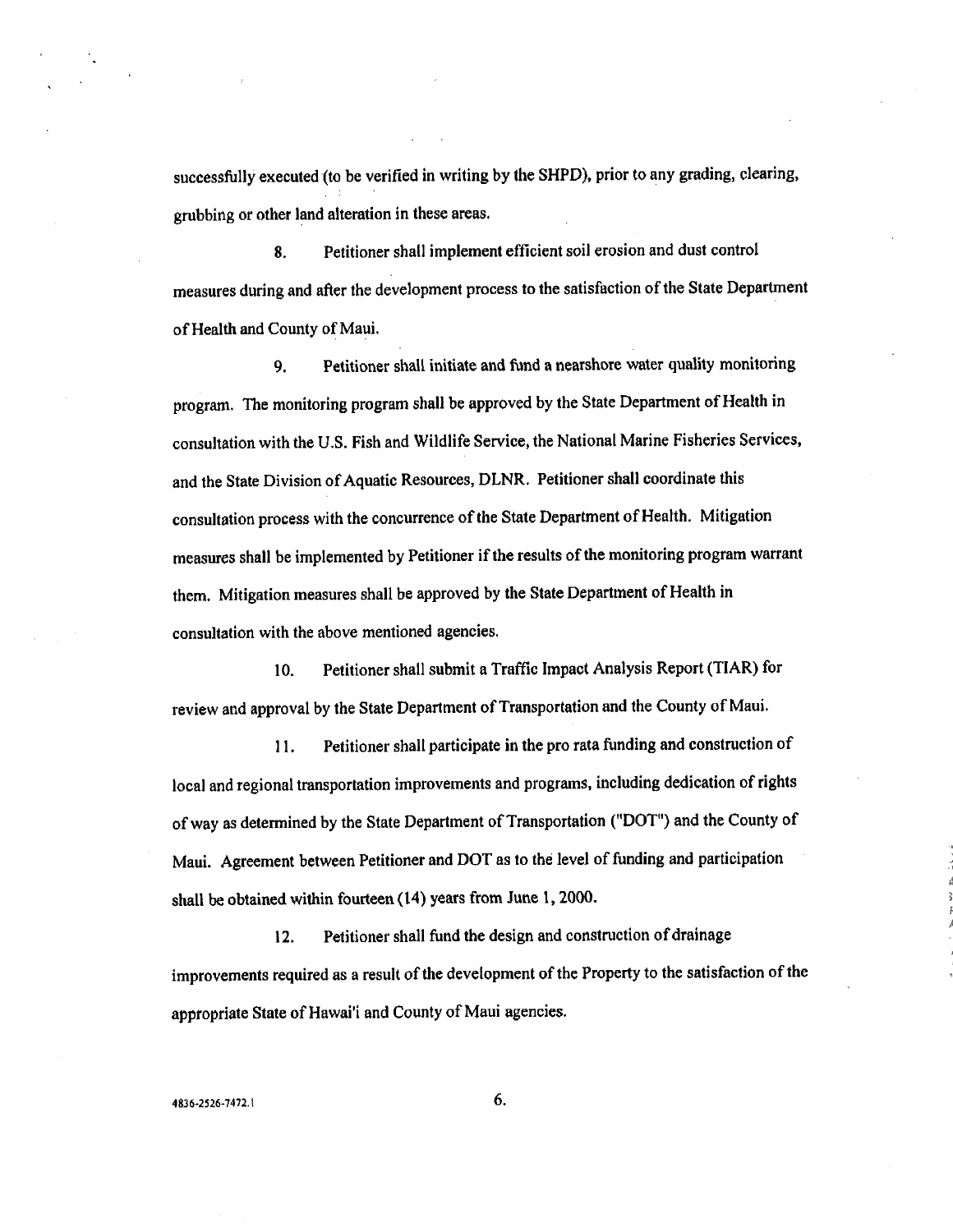successfully executed (to be verified in writing by the SHPD), prior to any grading, clearing, grubbing or other land alteration in these areas.

8. Petitioner shall implement efficient soil erosion and dust control measures during and after the development process to the satisfaction of the State Department of Health and County of Maul.

9. Petitioner shall initiate and fund a nearshore water quality monitoring program. The monitoring program shall be approved by the State Department of Health in consultation with the U.S. Fish and Wildlife Service, the National Marine Fisheries Services, and the State Division of Aquatic Resources, DLNR. Petitioner shall coordinate this consultation process with the concurrence of the State Department of Health. Mitigation measures shall be implemented by Petitioner if the results of the monitoring program warrant them. Mitigation measures shall be approved by the State Department of Health in consultation with the above mentioned agencies.

10. Petitioner shall submit a Traffic Impact Analysis Report (TIAR) for review and approval by the State Department of Transportation and the County of Maul.

11. Petitioner shall participate in the pro rata funding and construction of local and regional transportation improvemems and programs, including dedication of rights of way as determined by the State Department of Transportation ("DOT") and the County of Maul. Agreement between Petitioner and DOT as to the level of funding and participation shall be obtained within fourteen (14) years from June 1, 2000.

12. Petitioner shall fund the design and construction of drainage improvements required as a result of the development of the Property to the satisfaction of the appropriate State of Hawai'i and County of Maul agencies.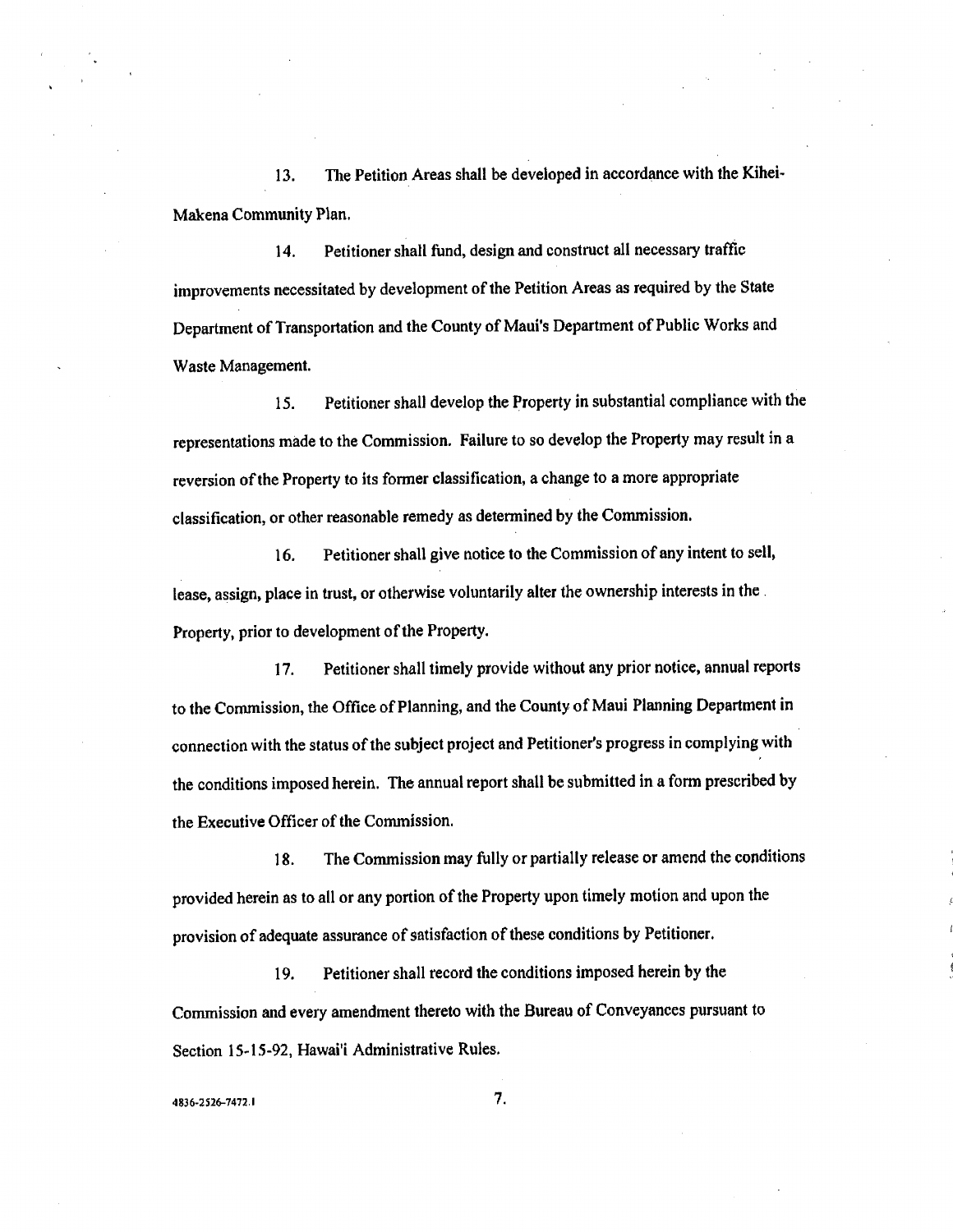13. The Petition Areas shall be developed in accordance with the Kihei-Makena Community Plan.

14. Petitioner shall fund, design and construct all necessary traffic improvements necessitated by development of the Petition Areas as required by the State Department of Transportation and the County of Maui's Department of Public Works and Waste Management.

15. Petitioner shall develop the Property in substantial compliance with the representations made to the Commission. Failure to so develop the Property may result in a reversion of the Property to its former classification, a change to a more appropriate classification, or other reasonable remedy as determined by the Commission.

16. Petitioner shall give notice to the Commission of any intent to sell, lease, assign, place in trust, or otherwise voluntarily alter the ownership interests in the Property, prior to development of the Property.

17. Petitioner shall timely provide without any prior notice, annual reports to the Commission, the Office of Planning, and the County of Maui Planning Department in connection with the status of the subject project and Petitioner's progress in complying with the conditions imposed herein. The annual report shall be submitted in a form prescribed by the Executive Officer of the Commission.

18. The Commission may fully or partially release or amend the conditions provided herein as to all or any portion of the Property upon timely motion and upon the provision of adequate assurance of satisfaction of these conditions by Petitioner.

19. Petitioner shall record the conditions imposed herein by the Commission and every amendment thereto with the Bureau of Conveyances pursuant to Section 15-15-92, Hawai'i Administrative Rules.

4836-2526-7472,1 7.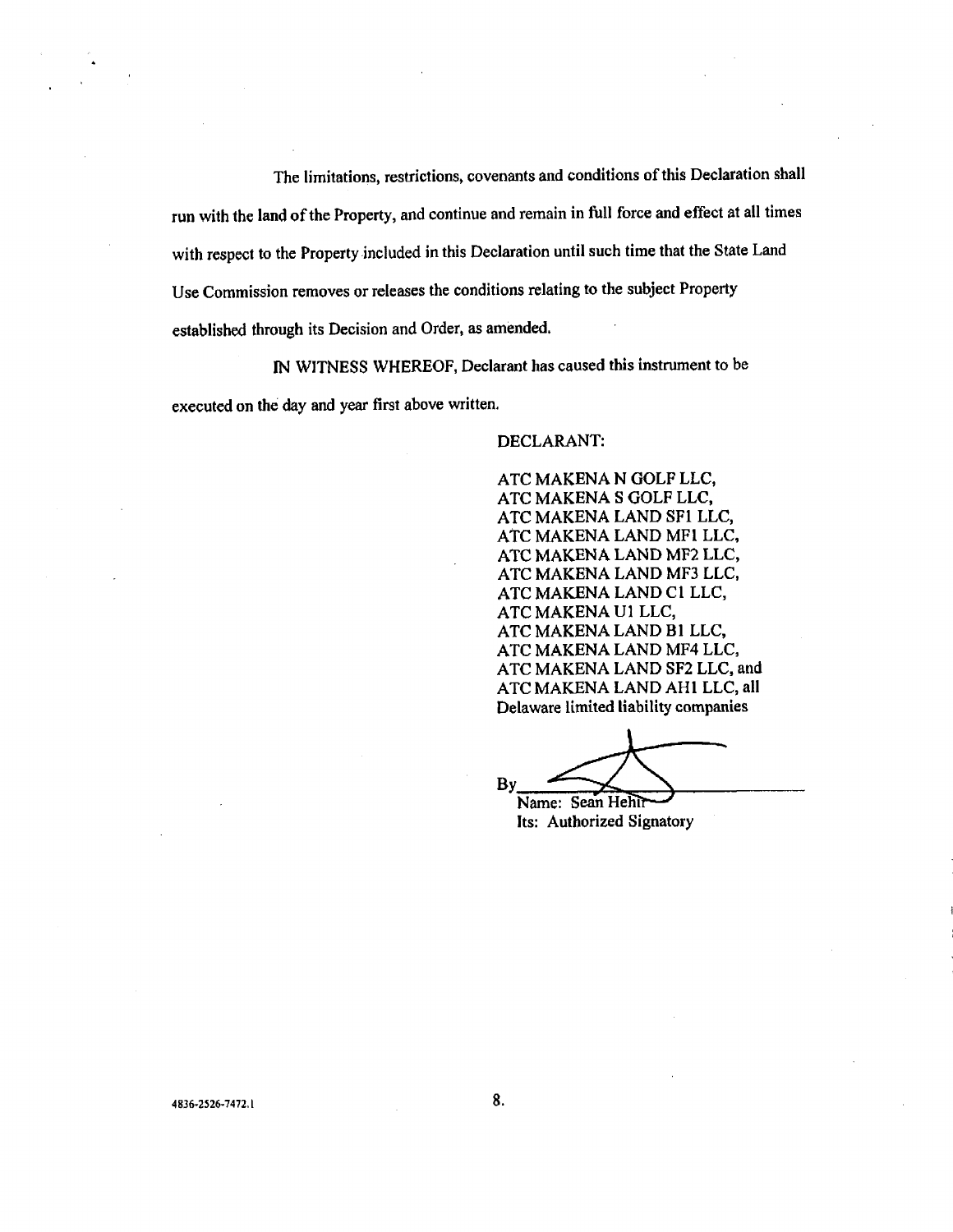The limitations, restrictions, covenants and conditions of this Declaration shall run with the land of the Property, and continue and remain in full force and effect at all times with respect to the Property included in this Declaration until such time that the State Land Use Commission removes or releases the conditions relating to the subject Property established through its Decision and Order, as amended,

IN WITNESS WHEREOF, Declarant has caused this instrument to be executed on the day and year first above written,

DECLARANT:

ATC MAKENA N GOLF LLC, ATC MAKENA S GOLF LLC, ATC MAKENA LAND SF1 LLC, ATC MAKENA LAND MFI LLC, ATC MAKENA LAND MF2 LLC, ATC MAKENA LAND MF3 LLC, ATC MAKENA LAND CI LLC, ATC MAKENA U1 LLC, ATC MAKENA LAND B1 LLC, ATC MAKENA LAND MF4 LLC, ATC MAKENA LAND SF2 LLC, and ATC MAKENA LAND AH1 LLC, all Delaware limited liability companies

 $By \nightharpoonup$ 

Its: Authorized Signatory

 $4836 - 2526 - 7472.1$  8.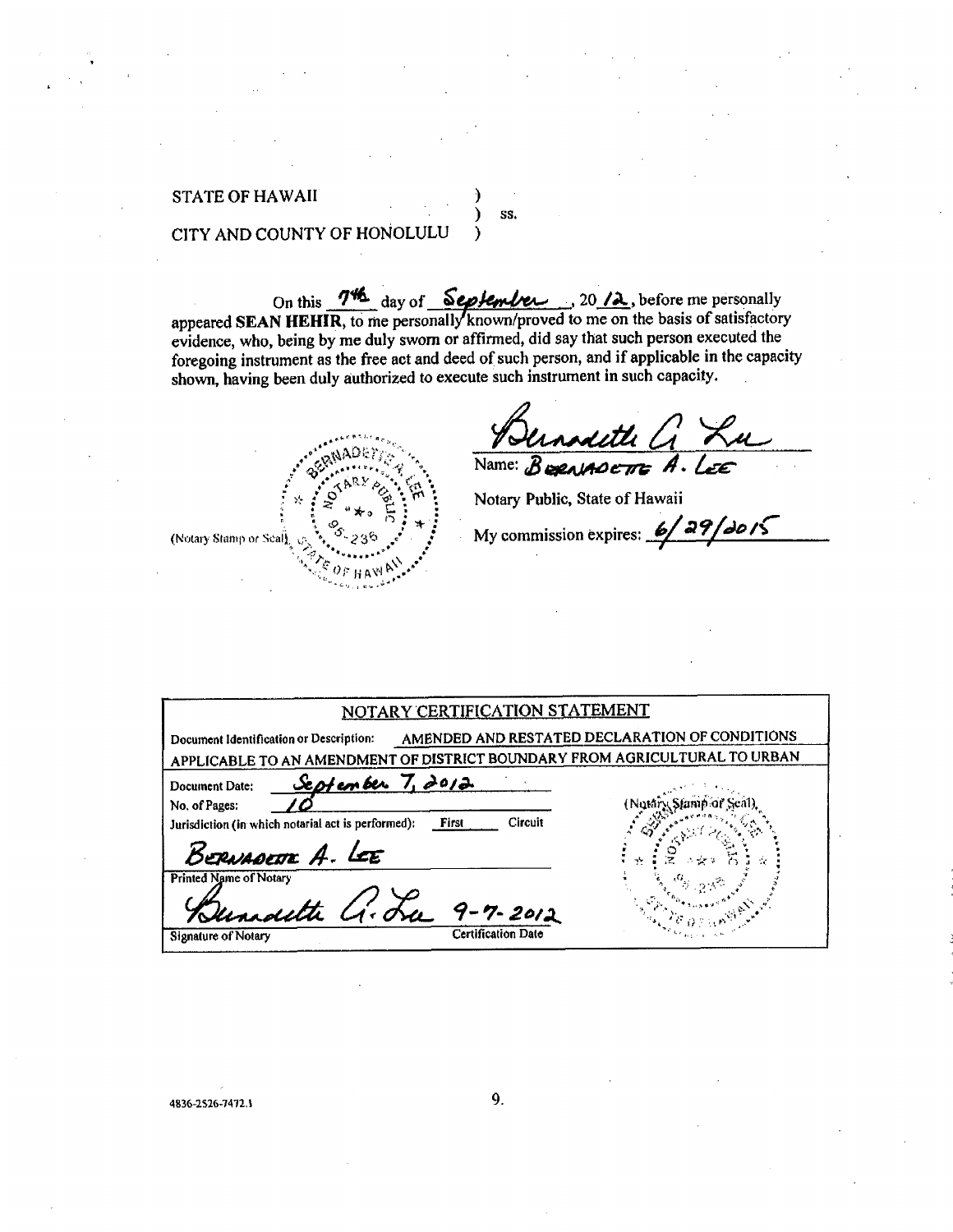## **STATE OF HAWAII**

# CITY AND COUNTY OF HONOLULU

On this  $\frac{744}{100}$  day of September 30 /2, before me personally appeared SEAN HEHIR, to me personally known/proved to me on the basis of satisfactory evidence, who, being by me duly sworn or affirmed, did say that such person executed the foregoing instrument as the free act and deed of such person, and if applicable in the capacity shown, having been duly authorized to execute such instrument in such capacity.

 $\mathcal Y$ 

SS.

(Notary Stamp or Seal)

Name:  $B$ **exeriADETE** A

Notary Public, State of Hawaii

My commission expires:  $\frac{6}{29}$  29/2015

| NOTARY CERTIFICATION STATEMENT                                                                                                        |                                                |
|---------------------------------------------------------------------------------------------------------------------------------------|------------------------------------------------|
| Document Identification or Description:<br>APPLICABLE TO AN AMENDMENT OF DISTRICT BOUNDARY FROM AGRICULTURAL TO URBAN                 | AMENDED AND RESTATED DECLARATION OF CONDITIONS |
| <u>September 7, 2012</u><br>Document Date:<br>No. of Pages:<br>Circuit<br>First<br>Jurisdiction (in which notarial act is performed): |                                                |
| BERNADETTE A. LEE<br><b>Printed Name of Notary</b>                                                                                    | -17                                            |
| Gernardthe G. La 9-7-2012<br>Certification Date<br>Signature of Notary                                                                |                                                |